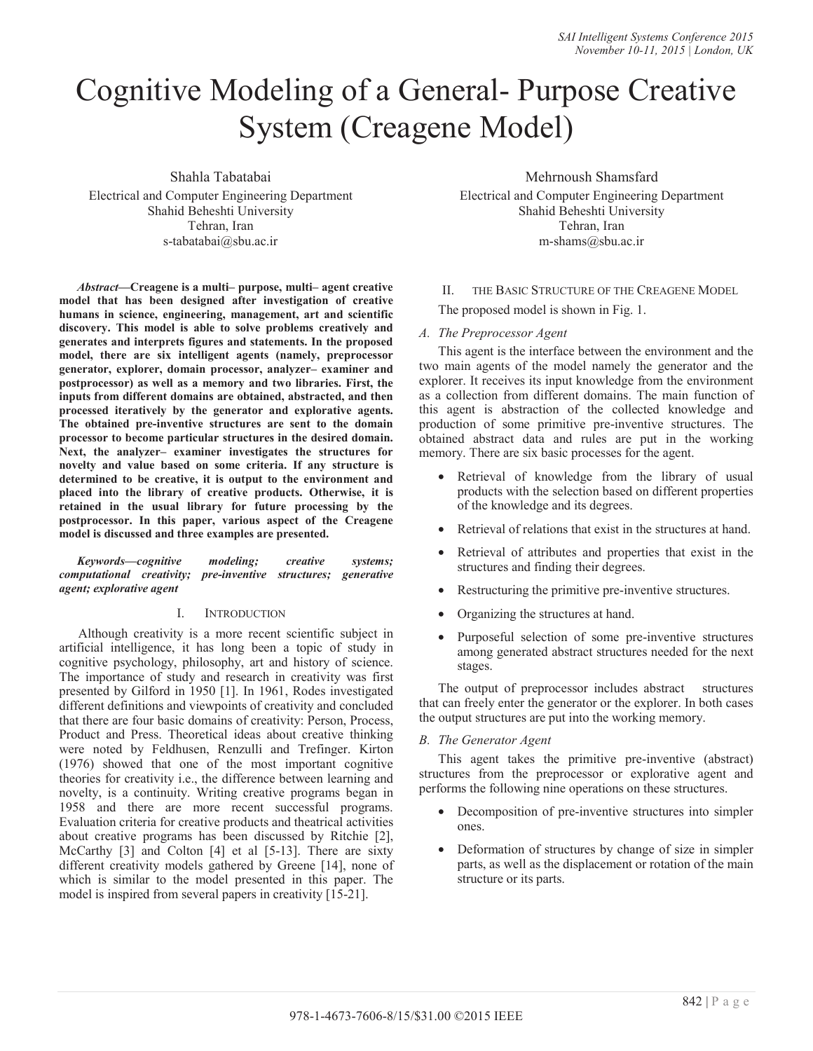# Cognitive Modeling of a General- Purpose Creative System (Creagene Model)

Shahla Tabatabai

Electrical and Computer Engineering Department Shahid Beheshti University Tehran, Iran s-tabatabai@sbu.ac.ir

*Abstract***—Creagene is a multi– purpose, multi– agent creative model that has been designed after investigation of creative humans in science, engineering, management, art and scientific discovery. This model is able to solve problems creatively and generates and interprets figures and statements. In the proposed model, there are six intelligent agents (namely, preprocessor generator, explorer, domain processor, analyzer– examiner and postprocessor) as well as a memory and two libraries. First, the inputs from different domains are obtained, abstracted, and then processed iteratively by the generator and explorative agents. The obtained pre-inventive structures are sent to the domain processor to become particular structures in the desired domain. Next, the analyzer– examiner investigates the structures for novelty and value based on some criteria. If any structure is determined to be creative, it is output to the environment and placed into the library of creative products. Otherwise, it is retained in the usual library for future processing by the postprocessor. In this paper, various aspect of the Creagene model is discussed and three examples are presented.** 

*Keywords—cognitive modeling; creative systems; computational creativity; pre-inventive structures; generative agent; explorative agent* 

## I. INTRODUCTION

Although creativity is a more recent scientific subject in artificial intelligence, it has long been a topic of study in cognitive psychology, philosophy, art and history of science. The importance of study and research in creativity was first presented by Gilford in 1950 [1]. In 1961, Rodes investigated different definitions and viewpoints of creativity and concluded that there are four basic domains of creativity: Person, Process, Product and Press. Theoretical ideas about creative thinking were noted by Feldhusen, Renzulli and Trefinger. Kirton (1976) showed that one of the most important cognitive theories for creativity i.e., the difference between learning and novelty, is a continuity. Writing creative programs began in 1958 and there are more recent successful programs. Evaluation criteria for creative products and theatrical activities about creative programs has been discussed by Ritchie [2], McCarthy [3] and Colton [4] et al [5-13]. There are sixty different creativity models gathered by Greene [14], none of which is similar to the model presented in this paper. The model is inspired from several papers in creativity [15-21].

Mehrnoush Shamsfard

Electrical and Computer Engineering Department Shahid Beheshti University Tehran, Iran m-shams@sbu.ac.ir

II. THE BASIC STRUCTURE OF THE CREAGENE MODEL

The proposed model is shown in Fig. 1.

## *A. The Preprocessor Agent*

This agent is the interface between the environment and the two main agents of the model namely the generator and the explorer. It receives its input knowledge from the environment as a collection from different domains. The main function of this agent is abstraction of the collected knowledge and production of some primitive pre-inventive structures. The obtained abstract data and rules are put in the working memory. There are six basic processes for the agent.

- Retrieval of knowledge from the library of usual products with the selection based on different properties of the knowledge and its degrees.
- Retrieval of relations that exist in the structures at hand.
- Retrieval of attributes and properties that exist in the structures and finding their degrees.
- Restructuring the primitive pre-inventive structures.
- Organizing the structures at hand.
- Purposeful selection of some pre-inventive structures among generated abstract structures needed for the next stages.

The output of preprocessor includes abstract structures that can freely enter the generator or the explorer. In both cases the output structures are put into the working memory.

## *B. The Generator Agent*

This agent takes the primitive pre-inventive (abstract) structures from the preprocessor or explorative agent and performs the following nine operations on these structures.

- Decomposition of pre-inventive structures into simpler ones.
- Deformation of structures by change of size in simpler parts, as well as the displacement or rotation of the main structure or its parts.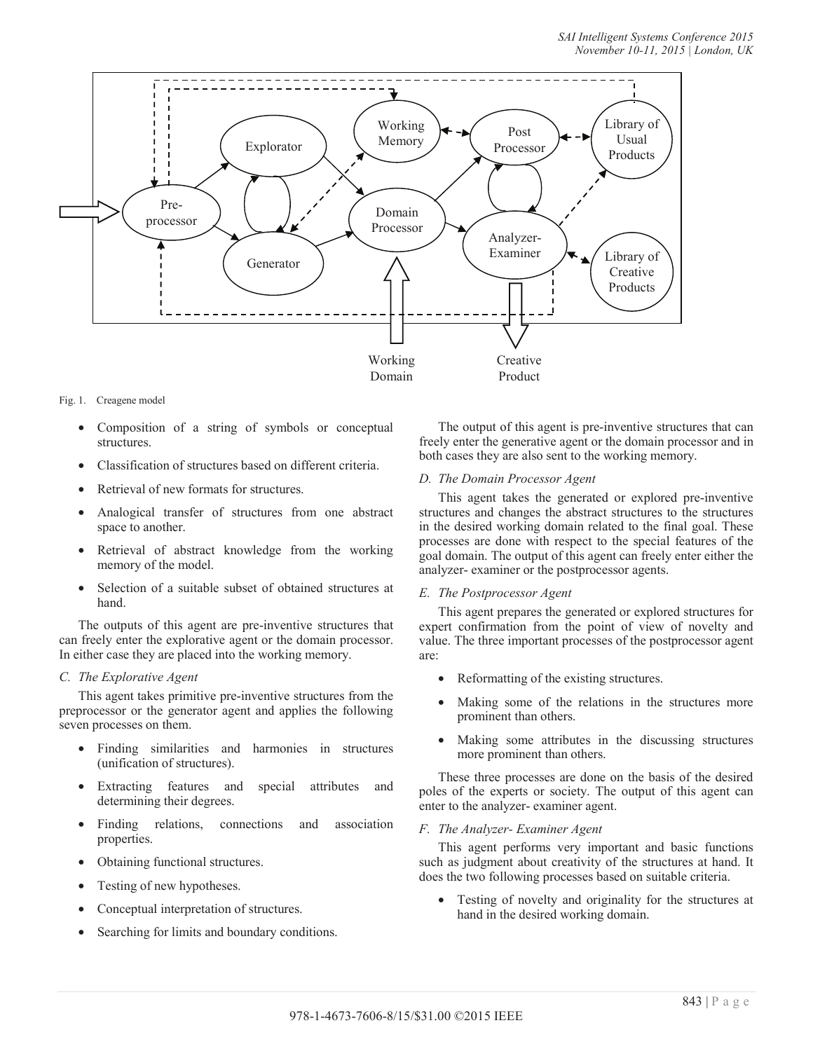

### Fig. 1. Creagene model

- Composition of a string of symbols or conceptual structures.
- Classification of structures based on different criteria.
- Retrieval of new formats for structures.
- Analogical transfer of structures from one abstract space to another.
- Retrieval of abstract knowledge from the working memory of the model.
- Selection of a suitable subset of obtained structures at hand.

The outputs of this agent are pre-inventive structures that can freely enter the explorative agent or the domain processor. In either case they are placed into the working memory.

## *C. The Explorative Agent*

This agent takes primitive pre-inventive structures from the preprocessor or the generator agent and applies the following seven processes on them.

- Finding similarities and harmonies in structures (unification of structures).
- Extracting features and special attributes and determining their degrees.
- Finding relations, connections and association properties.
- Obtaining functional structures.
- Testing of new hypotheses.
- Conceptual interpretation of structures.
- Searching for limits and boundary conditions.

The output of this agent is pre-inventive structures that can freely enter the generative agent or the domain processor and in both cases they are also sent to the working memory.

## *D. The Domain Processor Agent*

This agent takes the generated or explored pre-inventive structures and changes the abstract structures to the structures in the desired working domain related to the final goal. These processes are done with respect to the special features of the goal domain. The output of this agent can freely enter either the analyzer- examiner or the postprocessor agents.

#### *E. The Postprocessor Agent*

This agent prepares the generated or explored structures for expert confirmation from the point of view of novelty and value. The three important processes of the postprocessor agent are:

- Reformatting of the existing structures.
- Making some of the relations in the structures more prominent than others.
- Making some attributes in the discussing structures more prominent than others.

These three processes are done on the basis of the desired poles of the experts or society. The output of this agent can enter to the analyzer- examiner agent.

#### *F. The Analyzer- Examiner Agent*

This agent performs very important and basic functions such as judgment about creativity of the structures at hand. It does the two following processes based on suitable criteria.

• Testing of novelty and originality for the structures at hand in the desired working domain.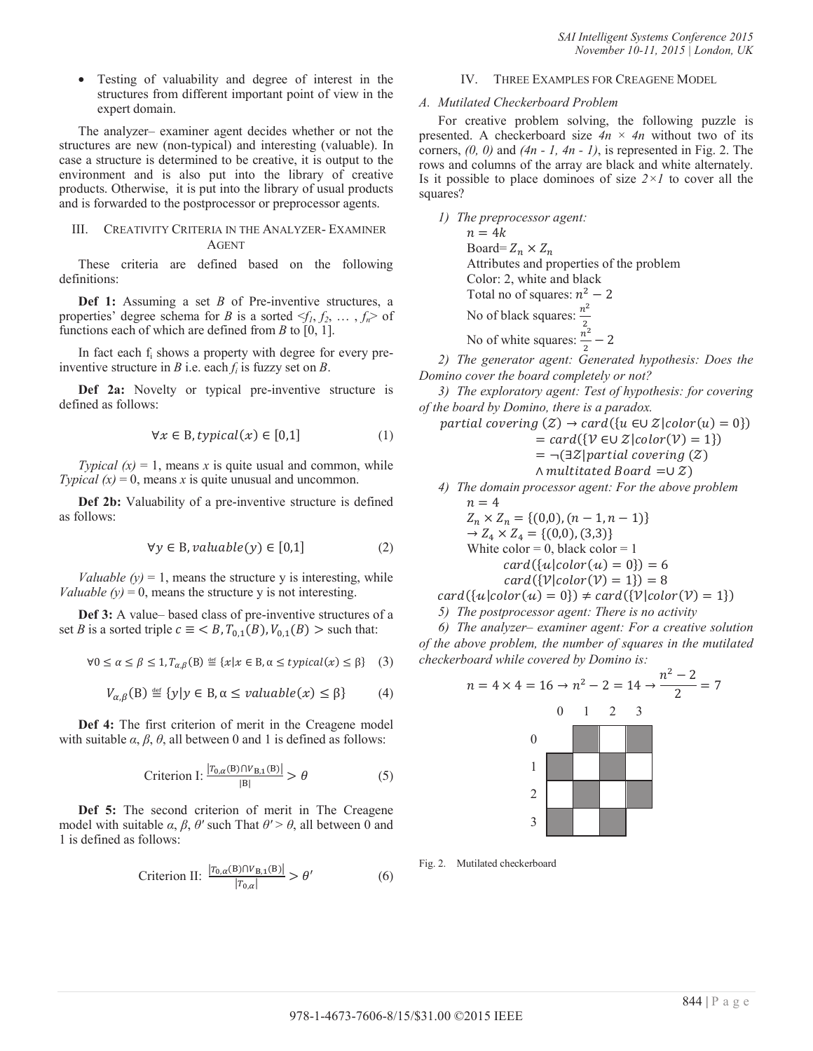• Testing of valuability and degree of interest in the structures from different important point of view in the expert domain.

The analyzer– examiner agent decides whether or not the structures are new (non-typical) and interesting (valuable). In case a structure is determined to be creative, it is output to the environment and is also put into the library of creative products. Otherwise, it is put into the library of usual products and is forwarded to the postprocessor or preprocessor agents.

## III. CREATIVITY CRITERIA IN THE ANALYZER- EXAMINER AGENT

These criteria are defined based on the following definitions:

**Def 1:** Assuming a set *B* of Pre-inventive structures, a properties' degree schema for *B* is a sorted  $\leq f_1, f_2, \ldots, f_n$  of functions each of which are defined from *B* to [0, 1].

In fact each f<sub>i</sub> shows a property with degree for every preinventive structure in *B* i.e. each *fi* is fuzzy set on *B*.

**Def 2a:** Novelty or typical pre-inventive structure is defined as follows:

$$
\forall x \in B, typical(x) \in [0,1]
$$
 (1)

*Typical*  $(x) = 1$ , means *x* is quite usual and common, while *Typical*  $(x) = 0$ , means *x* is quite unusual and uncommon.

**Def 2b:** Valuability of a pre-inventive structure is defined as follows:

$$
\forall y \in B, \text{value}(y) \in [0,1] \tag{2}
$$

*Valuable (y)* = 1, means the structure y is interesting, while *Valuable (y)* = 0, means the structure y is not interesting.

**Def 3:** A value– based class of pre-inventive structures of a set *B* is a sorted triple  $c \equiv \langle B, T_{0,1}(B), V_{0,1}(B) \rangle$  such that:

$$
\forall 0 \le \alpha \le \beta \le 1, T_{\alpha,\beta}(B) \stackrel{\text{def}}{=} \{x | x \in B, \alpha \le \text{typical}(x) \le \beta\} \quad (3)
$$

$$
V_{\alpha,\beta}(\mathbf{B}) \stackrel{\text{def}}{=} \{y | y \in \mathbf{B}, \alpha \le \text{value}(x) \le \beta\} \tag{4}
$$

**Def 4:** The first criterion of merit in the Creagene model with suitable  $\alpha$ ,  $\beta$ ,  $\theta$ , all between 0 and 1 is defined as follows:

$$
\text{Criterion I: } \frac{|T_{0,\alpha}(B) \cap V_{B,1}(B)|}{|B|} > \theta \tag{5}
$$

**Def 5:** The second criterion of merit in The Creagene model with suitable  $\alpha$ ,  $\beta$ ,  $\theta'$  such That  $\theta' > \theta$ , all between 0 and 1 is defined as follows:

$$
\text{Criterion II: } \frac{|T_{0,\alpha}(B) \cap V_{B,1}(B)|}{|T_{0,\alpha}|} > \theta' \tag{6}
$$

## IV. THREE EXAMPLES FOR CREAGENE MODEL

## *A. Mutilated Checkerboard Problem*

For creative problem solving, the following puzzle is presented. A checkerboard size  $4n \times 4n$  without two of its corners, *(0, 0)* and *(4n - 1, 4n - 1)*, is represented in Fig. 2. The rows and columns of the array are black and white alternately. Is it possible to place dominoes of size *2×1* to cover all the squares?

*1) The preprocessor agent:*   $n = 4k$ Board=  $Z_n \times Z_n$ Attributes and properties of the problem Color: 2, white and black Total no of squares:  $n^2 - 2$ No of black squares:  $\frac{n^2}{2}$ No of white squares:  $\frac{n^2}{2}$  – 2

*2) The generator agent: Generated hypothesis: Does the Domino cover the board completely or not?* 

*3) The exploratory agent: Test of hypothesis: for covering of the board by Domino, there is a paradox.* 

partial covering  $(Z) \rightarrow card(\{u \in \cup Z | color(u) = 0\})$ 

$$
= \text{card}(\{\mathcal{V} \in \cup \mathcal{Z}|\text{color}(\mathcal{V}) = 1\})
$$
  
=  $\neg(\exists \mathcal{Z}|\text{partial covering}(Z))$ 

$$
= \neg (\exists z |partial \ covering (z
$$

 $\land$  multitated Board = $\cup$  Z)

*4) The domain processor agent: For the above problem*   $n = 4$ 

$$
Z_n \times Z_n = \{(0,0), (n-1, n-1)\}\
$$
  
\n
$$
\rightarrow Z_4 \times Z_4 = \{(0,0), (3,3)\}\
$$
  
\nWhite color = 0, black color = 1  
\n
$$
card(\{u|color(u) = 0\}) = 6
$$
  
\n
$$
card(\{\mathcal{V}|color(v) = 1\}) = 8
$$

 $card({u|color(u) = 0}) \neq card({V|color(V) = 1})$ 

*5) The postprocessor agent: There is no activity* 

*6) The analyzer– examiner agent: For a creative solution of the above problem, the number of squares in the mutilated checkerboard while covered by Domino is:* 

$$
n = 4 \times 4 = 16 \rightarrow n^{2} - 2 = 14 \rightarrow \frac{n^{2} - 2}{2} = 7
$$
  
0 1 2 3  
0  
1  
2  
3

Fig. 2. Mutilated checkerboard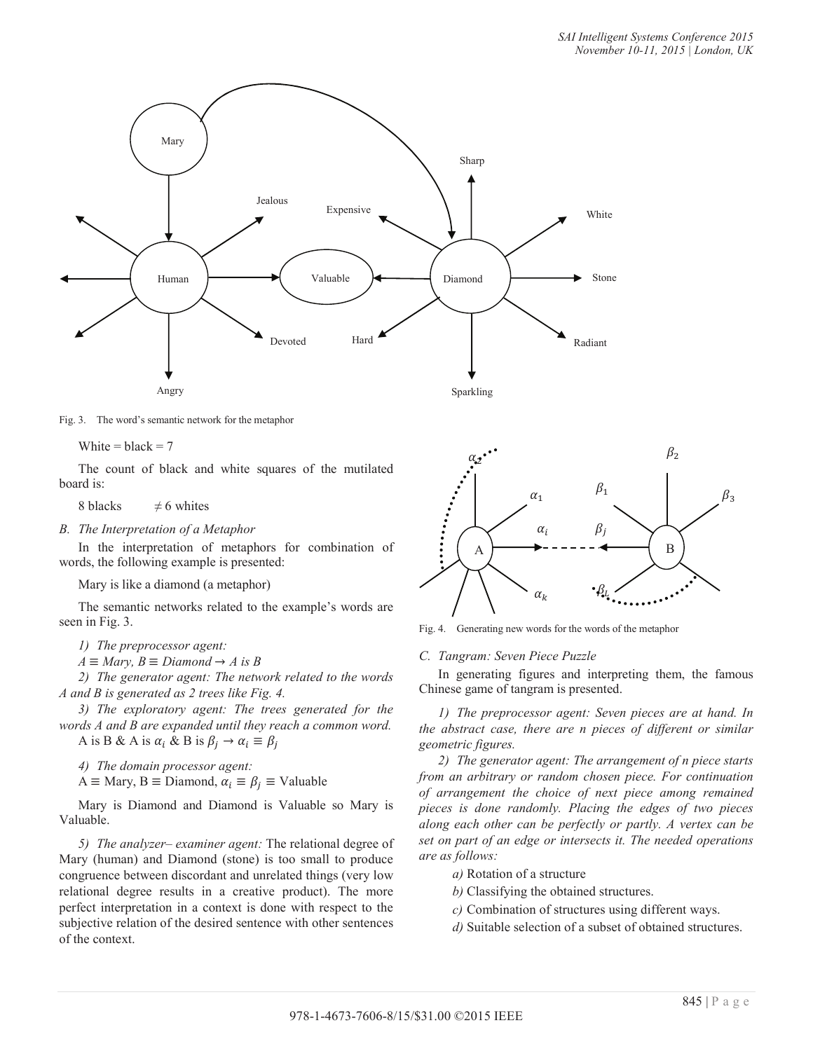

Fig. 3. The word's semantic network for the metaphor

White =  $black = 7$ 

The count of black and white squares of the mutilated board is:

8 blacks  $\neq$  6 whites

*B. The Interpretation of a Metaphor* 

In the interpretation of metaphors for combination of words, the following example is presented:

Mary is like a diamond (a metaphor)

The semantic networks related to the example's words are seen in Fig. 3.

*1) The preprocessor agent:* 

 $A \equiv Mary, B \equiv Diamond \rightarrow A$  is B

*2) The generator agent: The network related to the words A and B is generated as 2 trees like Fig. 4.* 

*3) The exploratory agent: The trees generated for the words A and B are expanded until they reach a common word.* 

A is B & A is  $\alpha_i$  & B is  $\beta_i \rightarrow \alpha_i \equiv \beta_i$ 

*4) The domain processor agent:* 

 $A \equiv$  Mary,  $B \equiv$  Diamond,  $\alpha_i \equiv \beta_j \equiv$  Valuable

Mary is Diamond and Diamond is Valuable so Mary is Valuable.

*5) The analyzer– examiner agent:* The relational degree of Mary (human) and Diamond (stone) is too small to produce congruence between discordant and unrelated things (very low relational degree results in a creative product). The more perfect interpretation in a context is done with respect to the subjective relation of the desired sentence with other sentences of the context.



Fig. 4. Generating new words for the words of the metaphor

*C. Tangram: Seven Piece Puzzle* 

In generating figures and interpreting them, the famous Chinese game of tangram is presented.

*1) The preprocessor agent: Seven pieces are at hand. In the abstract case, there are n pieces of different or similar geometric figures.* 

*2) The generator agent: The arrangement of n piece starts from an arbitrary or random chosen piece. For continuation of arrangement the choice of next piece among remained pieces is done randomly. Placing the edges of two pieces along each other can be perfectly or partly. A vertex can be set on part of an edge or intersects it. The needed operations are as follows:* 

- *a)* Rotation of a structure
- *b)* Classifying the obtained structures.
- *c)* Combination of structures using different ways.
- *d)* Suitable selection of a subset of obtained structures.